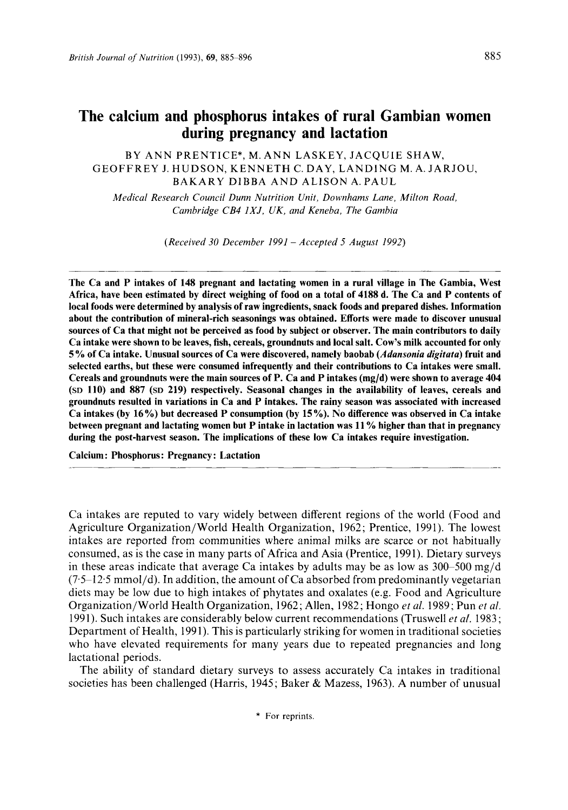# **The calcium and phosphorus intakes of rural Gambian women during pregnancy and lactation**

## BY ANN PRENTICE\*, M. ANN LASKEY, JACQUIE SHAW, GEOFFREY **J.** HUDSON, KENNETH C. DAY, LANDING **M.** A. JARJOU. BAKARY DIBBA AND ALISON A.PAUL

*Medical Research Council Dunn Nutrition Unit, Downhams Lane, Milton Road, Cambridge CB4 IXJ, UK, and Keneba, The Gambia* 

*(Received 30 December 1991 -Accepted* **5** *August 1992)* 

The Ca and P intakes of **148** pregnant and lactating women in a rural village in The Gambia, West Africa, have been estimated by direct weighing of food on a total of **4188** d. The Ca and P contents of local foods were determined by analysis of raw ingredients, snack foods and prepared dishes. Information about the contribution of mineral-rich seasonings was obtained. Efforts were made to discover unusual sources of Ca that might not be perceived as food by subject or observer. The main contributors to daily Ca intake were shown to be leaves, fish, cereals, groundnuts and local salt. Cow's milk accounted for only *5* **'YO** of Ca intake. Unusual sources of Ca were discovered, namely baobab *(Adunsonia digitata)* fruit and selected earths, but these were consumed infrequently and their contributions to Ca intakes were small. Cereals and groundnuts were the main sources of P. Ca and P intakes (mg/d) were shown to average **404 (SD 110)** and **887** (SD **219)** respectively. Seasonal changes in the availability of leaves, cereals and groundnuts resulted in variations in Ca and P intakes. The rainy season was associated with increased Ca intakes (by **16%)** but decreased P consumption (by **15%).** No difference was observed in Ca intake between pregnant and lactating women but P intake in lactation was 11 % higher than that in pregnancy during the post-harvest season. The implications of these low Ca intakes require investigation.

Calcium: Phosphorus: Pregnancy: Lactation

Ca intakes are reputed to vary widely between different regions of the world (Food and Agriculture Organization/World Health Organization, 1962; Prentice, 1991). The lowest intakes are reported from communities where animal milks are scarce or not habitually consumed, as is the case in many parts of Africa and Asia (Prentice, 1991). Dietary surveys in these areas indicate that average Ca intakes by adults may be as low as  $300-500$  mg/d  $(7.5-12.5 \text{ mmol/d})$ . In addition, the amount of Ca absorbed from predominantly vegetarian diets may be low due to high intakes of phytates and oxalates (e.g. Food and Agriculture Organization/World Health Organization, 1962; Allen, 1982; Hongo *et al.* 1989; Pun *et al.*  1991). Such intakes are considerably below current recommendations (Truswell *et a/.* 1983 ; Department of Health, 1991). This is particularly striking for women in traditional societies who have elevated requirements for many years due to repeated pregnancies and long lactational periods.

The ability of standard dietary surveys to assess accurately Ca intakes in traditional societies has been challenged (Harris, 1945; Baker & Mazess, 1963). A number of unusual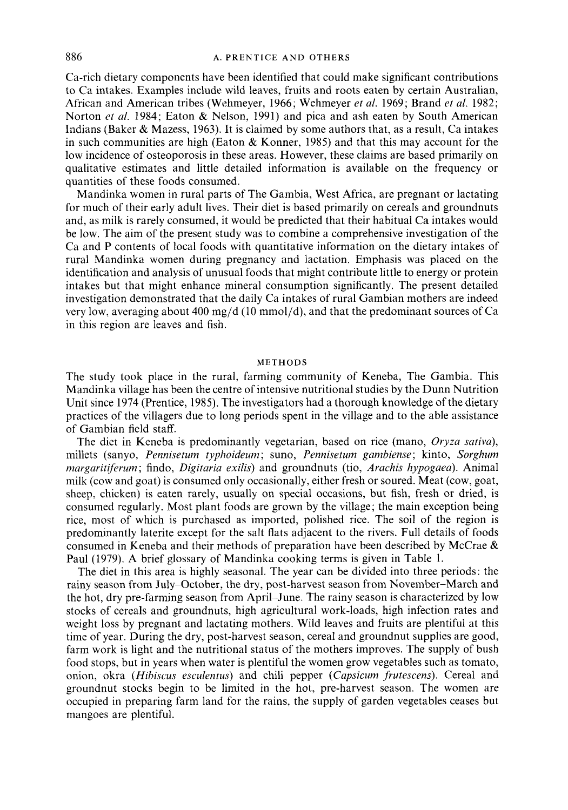### 886 **A.** PRENTICE **AND** OTHERS

Ca-rich dietary components have been identified that could make significant contributions to Ca intakes. Examples include wild leaves, fruits and roots eaten by certain Australian, African and American tribes (Wehmeyer, 1966; Wehmeyer *et al.* 1969; Brand *et al.* 1982; Norton *et al.* 1984; Eaton & Nelson, 1991) and pica and ash eaten by South American Indians (Baker & Mazess, 1963). It is claimed by some authors that, as a result, Ca intakes in such communities are high (Eaton  $\&$  Konner, 1985) and that this may account for the low incidence of osteoporosis in these areas. However, these claims are based primarily on qualitative estimates and little detailed information is available on the frequency or quantities of these foods consumed.

Mandinka women in rural parts of The Gambia, West Africa, are pregnant or lactating for much of their early adult lives. Their diet is based primarily on cereals and groundnuts and, as milk is rarely consumed, it would be predicted that their habitual Ca intakes would be low. The aim of the present study was to combine a comprehensive investigation of the Ca and P contents of local foods with quantitative information on the dietary intakes of rural Mandinka women during pregnancy and lactation. Emphasis was placed on the identification and analysis of unusual foods that might contribute little to energy or protein intakes but that might enhance mineral consumption significantly. The present detailed investigation demonstrated that the daily Ca intakes of rural Gambian mothers are indeed very low, averaging about 400 mg/d (10 mmol/d), and that the predominant sources of Ca in this region are leaves and fish.

#### METHODS

The study took place in the rural, farming community of Keneba, The Gambia. This Mandinka village has been the centre of intensive nutritional studies by the Dunn Nutrition Unit since 1974 (Prentice, 1985). The investigators had a thorough knowledge of the dietary practices of the villagers due to long periods spent in the village and to the able assistance of Gambian field staff.

The diet in Keneba is predominantly vegetarian, based on rice (mano, *Oryza sativu),*  millets (sanyo, *Pennisetum typhoideum;* suno, *Pennisetum gambiense;* kinto, *Sorghum margaritijerum* ; findo, *Digitaria exilis)* and groundnuts (tio, *Arachis hypogaea).* Animal milk (cow and goat) is consumed only occasionally, either fresh or soured. Meat (cow, goat, sheep, chicken) is eaten rarely, usually on special occasions, but fish, fresh or dried, is consumed regularly. Most plant foods are grown by the village; the main exception being rice, most of which is purchased as imported, polished rice. The soil of the region is predominantly laterite except for the salt flats adjacent to the rivers. Full details of foods consumed in Keneba and their methods of preparation have been described by McCrae & Paul (1979). **A** brief glossary of Mandinka cooking terms is given in Table 1.

The diet in this area is highly seasonal. The year can be divided into three periods: the rainy season from July-October, the dry, post-harvest season from November-March and the hot, dry pre-farming season from April-June. The rainy season is characterized by low stocks of cereals and groundnuts, high agricultural work-loads, high infection rates and weight loss by pregnant and lactating mothers. Wild leaves and fruits are plentiful at this time of year. During the dry, post-harvest season, cereal and groundnut supplies are good, farm work is light and the nutritional status of the mothers improves. The supply of bush food stops, but in years when water is plentiful the women grow vegetables such as tomato, onion, okra *(Hibiscus esculentus)* and chili pepper *(Capsicum ,frutescens).* Cereal and groundnut stocks begin to be limited in the hot, pre-harvest season. The women are occupied in preparing farm land for the rains, the supply of garden vegetables ceases but mangoes are plentiful.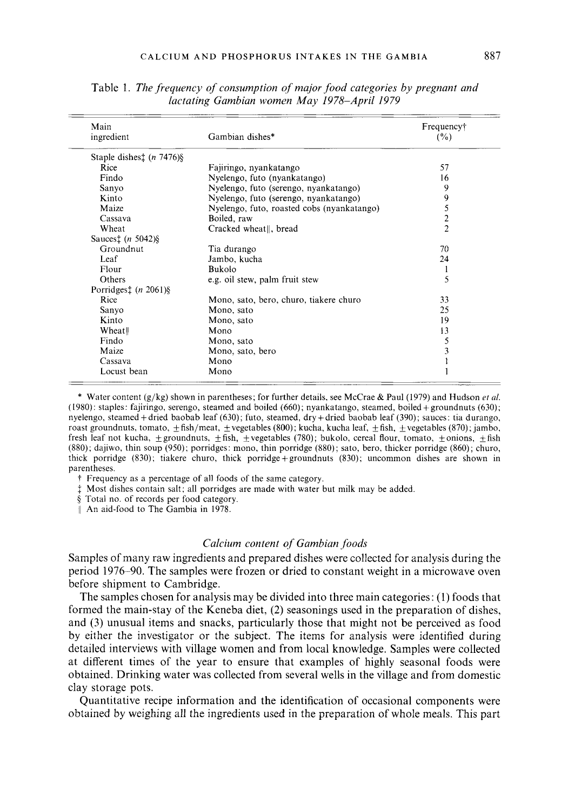| Main<br>ingredient                     | Gambian dishes*                            | Frequency†<br>$($ %) |
|----------------------------------------|--------------------------------------------|----------------------|
| Staple dishest $(n 7476)\$             |                                            |                      |
| Rice                                   | Fajiringo, nyankatango                     | 57                   |
| Findo                                  | Nyelengo, futo (nyankatango)               | 16                   |
| Sanyo                                  | Nyelengo, futo (serengo, nyankatango)      | 9                    |
| Kinto                                  | Nyelengo, futo (serengo, nyankatango)      | 9                    |
| Maize                                  | Nyelengo, futo, roasted cobs (nyankatango) | 5                    |
| Cassava                                | Boiled, raw                                | 2                    |
| Wheat                                  | Cracked wheat <sub>l</sub> , bread         | $\overline{2}$       |
| Sauces $\ddagger$ ( <i>n</i> 5042)§    |                                            |                      |
| Groundnut                              | Tia durango                                | 70.                  |
| Leaf                                   | Jambo, kucha                               | 24                   |
| Flour                                  | <b>Bukolo</b>                              |                      |
| Others                                 | e.g. oil stew, palm fruit stew             | 5                    |
| Porridges $\ddagger$ ( <i>n</i> 2061)§ |                                            |                      |
| Rice                                   | Mono, sato, bero, churo, tiakere churo     | 33                   |
| Sanyo                                  | Mono, sato                                 | 25                   |
| Kinto                                  | Mono, sato                                 | 19                   |
| Wheat                                  | Mono                                       | 13                   |
| Findo                                  | Mono, sato                                 | 5                    |
| Maize                                  | Mono, sato, bero                           | 3                    |
| Cassava                                | Mono                                       |                      |
| Locust bean                            | Mono                                       |                      |

Table I. *The frequency of consumption of major food categories by pregnant and lactating Gambian women May 1978-April 1979* 

\* Water content (g/kg) shown in parentheses; for further details, see McCrae & Paul (1979) and Hudson *er cil.*  (1980): staples: fajiringo, serengo, steamed and boiled (660); nyankatango, steamed, boiled + groundnuts (630); nyelengo, steamed +dried baobab leaf (630); futo, steamed, dry+dried baobab leaf (390); sauces: tia durango, roast groundnuts, tomato,  $\pm$ fish/meat,  $\pm$  vegetables (800); kucha, kucha leaf,  $\pm$ fish,  $\pm$  vegetables (870); jambo, fresh leaf not kucha,  $\pm$ groundnuts,  $\pm$ fish,  $\pm$ vegetables (780); bukolo, cereal flour, tomato,  $\pm$ onions,  $\pm$ fish (880); dajiwo, thin soup (950) ; porridges: mono, thin porridge (880) ; sato, bero, thicker porridge (860) ; churo, thick porridge (830); tiakere churo, thick porridge + groundnuts (830); uncommon dishes are shown in parentheses.

- t Frequency as a percentage of all foods of the same category.
- $\ddagger$  Most dishes contain salt; all porridges are made with water but milk may be added.
- § Total no. of records per food category.
- | An aid-food to The Gambia in 1978.

#### *Calcium content of Gambian ,foods*

Samples of many raw ingredients and prepared dishes were collected for analysis during the period 1976-90. The samples were frozen or dried to constant weight in a microwave oven before shipment to Cambridge.

The samples chosen for analysis may be divided into three main categories : (1) foods that formed the main-stay of the Keneba diet, (2) seasonings used in the preparation of dishes, and (3) unusual items and snacks, particularly those that might not be perceived as food by either the investigator or the subject. The items for analysis were identified during detailed interviews with village women and from local knowledge. Samples were collected at different times of the year to ensure that examples of highly seasonal foods were obtained. Drinking water was collected from several wells in the village and from domestic clay storage pots.

Quantitative recipe information and the identification of occasional components were obtained by weighing all the ingredients used in the preparation of whole meals. This part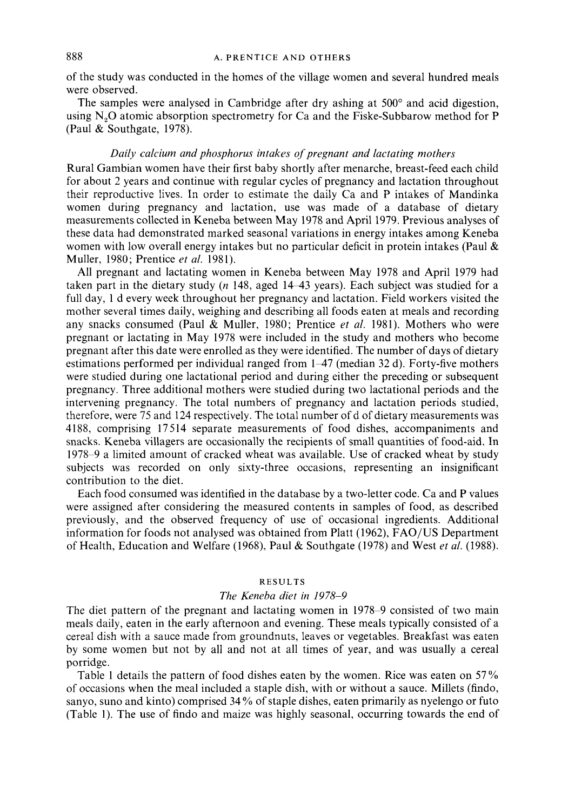of the study was conducted in the homes of the village women and several hundred meals were observed.

The samples were analysed in Cambridge after dry ashing at  $500^\circ$  and acid digestion, using N,O atomic absorption spectrometry for Ca and the Fiske-Subbarow method for P (Paul & Southgate, 1978).

#### *Daily calcium and phosphorus intakes of pregnant and lactating mothers*

Rural Gambian women have their first baby shortly after menarche, breast-feed each child for about 2 years and continue with regular cycles of pregnancy and lactation throughout their reproductive Iives. In order to estimate the daily Ca and P intakes of Mandinka women during pregnancy and lactation, use was made of a database of dietary measurements collected in Keneba between May 1978 and April 1979. Previous analyses of these data had demonstrated marked seasonal variations in energy intakes among Keneba women with low overall energy intakes but no particular deficit in protein intakes (Paul & Muller, 1980; Prentice *et al.* 1981).

All pregnant and lactating women in Keneba between May 1978 and April 1979 had taken part in the dietary study (n 148, aged 14–43 years). Each subject was studied for a full day, 1 d every week throughout her pregnancy and lactation. Field workers visited the mother several times daily, weighing and describing all foods eaten at meals and recording any snacks consumed (Paul & Muller, 1980; Prentice *et al.* 1981). Mothers who were pregnant or lactating in May 1978 were included in the study and mothers who become pregnant after this date were enrolled as they were identified. The number of days of dietary estimations performed per individual ranged from  $1-47$  (median 32 d). Forty-five mothers were studied during one lactational period and during either the preceding or subsequent pregnancy. Three additional mothers were studied during two lactational periods and the intervening pregnancy. The total numbers of pregnancy and lactation periods studied, therefore, were 75 and 124 respectively. The total number of d of dietary measurements was 4188, comprising 17 514 separate measurements of food dishes, accompaniments and snacks. Keneba villagers are occasionally the recipients of small quantities of food-aid. In 1978-9 a limited amount of cracked wheat was available. Use of cracked wheat by study subjects was recorded on only sixty-three occasions, representing an insignificant contribution to the diet.

Each food consumed was identified in the database by a two-letter code. Ca and P values were assigned after considering the measured contents in samples of food, as described previously, and the observed frequency of use of occasional ingredients. Additional information for foods not analysed was obtained from Platt (1962), FAO/US Department of Health, Education and Welfare (1968), Paul & Southgate (1978) and West *et al.* (1988).

### RESULTS

### *The Keneba diet in 1978-9*

The diet pattern of the pregnant and lactating women in 1978-9 consisted of two main meals daily, eaten in the early afternoon and evening. These meals typically consisted of a cereal dish with a sauce made from groundnuts, leaves or vegetables. Breakfast was eaten by some women but not by all and not at all times of year, and was usually a cereal porridge.

Table 1 details the pattern of food dishes eaten by the women. Rice was eaten on 57 % of occasions when the meal included a staple dish, with or without a sauce. Millets (findo, sanyo, suno and kinto) comprised 34% of staple dishes, eaten primarily as nyelengo or futo (Table 1). The use of findo and maize was highly seasonal, occurring towards the end of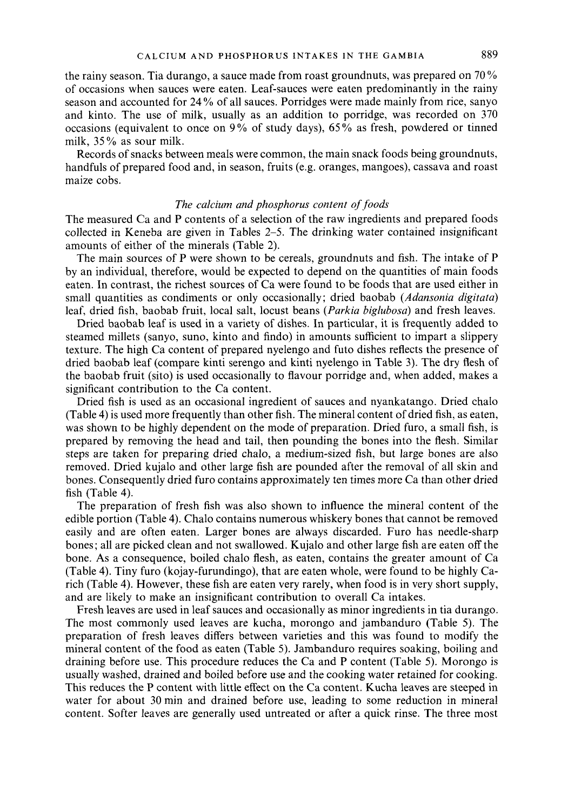the rainy season. Tia durango, a sauce made from roast groundnuts, was prepared on 70 % of occasions when sauces were eaten. Leaf-sauces were eaten predominantly in the rainy season and accounted for 24% of all sauces. Porridges were made mainly from rice, sanyo and kinto. The use of milk, usually as an addition to porridge, was recorded on 370 occasions (equivalent to once on 9% of study days), 65% as fresh, powdered or tinned milk, 35% as sour milk.

Records of snacks between meals were common, the main snack foods being groundnuts, handfuls of prepared food and, in season, fruits (e.g. oranges, mangoes), cassava and roast maize cobs.

## *The calcizim and phosphorus content of foods*

The measured Ca and P contents of a selection of the raw ingredients and prepared foods collected in Keneba are given in Tables 2-5. The drinking water contained insignificant amounts of either of the minerals (Table 2).

The main sources of P were shown to be cereals, groundnuts and fish. The intake of P by an individual, therefore, would be expected to depend on the quantities of main foods eaten. In contrast, the richest sources of Ca were found to be foods that are used either in small quantities as condiments or only occasionally; dried baobab *(Adansonia digitata)*  leaf, dried fish, baobab fruit, local salt, locust beans *(Parkia biglubosa)* and fresh leaves.

Dried baobab leaf is used in a variety of dishes. In particular, it is frequently added to steamed millets (sanyo, suno, kinto and findo) in amounts sufficient to impart a slippery texture. The high Ca content of prepared nyelengo and futo dishes reflects the presence of dried baobab leaf (compare kinti serengo and kinti nyelengo in Table *3).* The dry flesh of the baobab fruit (sito) is used occasionally to flavour porridge and, when added, makes a significant contribution to the Ca content.

Dried fish is used as an occasional ingredient of sauces and nyankatango. Dried chalo (Table 4) is used more frequently than other fish. The mineral content of dried fish, as eaten, was shown to be highly dependent on the mode of preparation. Dried furo, a small fish, is prepared by removing the head and tail, then pounding the bones into the flesh. Similar steps are taken for preparing dried chalo, a medium-sized fish, but large bones are also removed. Dried kujalo and other large fish are pounded after the removal of all skin and bones. Consequently dried furo contains approximately ten times more Ca than other dried fish (Table 4).

The preparation of fresh fish was also shown to influence the mineral content of the edible portion (Table 4). Chalo contains numerous whiskery bones that cannot be removed easily and are often eaten. Larger bones are always discarded. Furo has needle-sharp bones; all are picked clean and not swallowed. Kujalo and other large fish are eaten off the bone. **As** a consequence, boiled chalo flesh, as eaten, contains the greater amount of Ca (Table 4). Tiny furo (kojay-furundingo), that are eaten whole, were found to be highly Carich (Table 4). However, these fish are eaten very rarely, when food is in very short supply, and are likely to make an insignificant contribution to overall Ca intakes.

Fresh leaves are used in leaf sauces and occasionally as minor ingredients in tia durango. The most commonly used leaves are kucha, morongo and jambanduro (Table 5). The preparation of fresh leaves differs between varieties and this was found to modify the mineral content of the food as eaten (Table *5).* Jambanduro requires soaking, boiling and draining before use. This procedure reduces the Ca and P content (Table *5).* Morongo is usually washed, drained and boiled before use and the cooking water retained for cooking. This reduces the P content with little effect on the Ca content. Kucha leaves are steeped in water for about 30min and drained before use, leading to some reduction in mineral content. Softer leaves are generally used untreated or after a quick rinse. The three most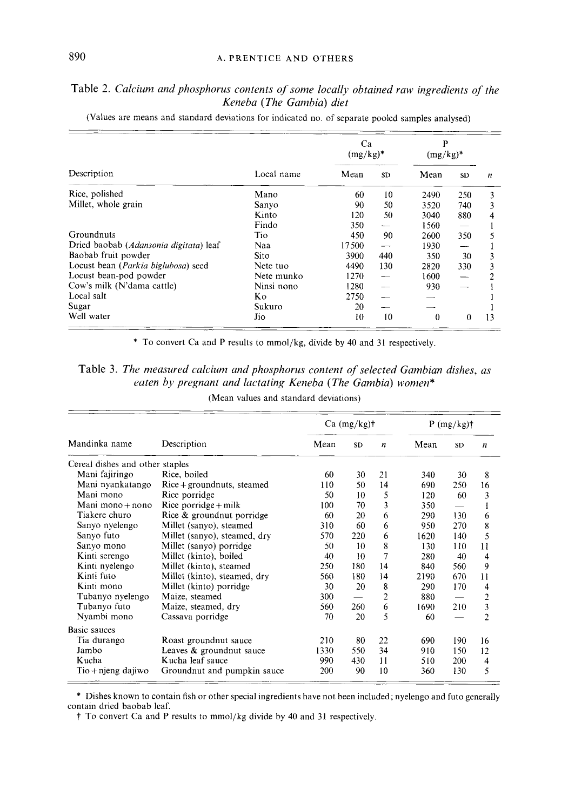# Table 2. *Calcium and phosphorus contents of' some locally obtained raw ingredients of the Keneba (The Gambia) diet*

(Values are means and standard deviations for indicated no. of separate pooled samples analysed)

|                                        |            | Ca<br>$(mg/kg)^*$ |                          | P<br>$(mg/kg)^*$ |           |    |  |
|----------------------------------------|------------|-------------------|--------------------------|------------------|-----------|----|--|
| Description                            | Local name | Mean              | <b>SD</b>                | Mean             | <b>SD</b> | n  |  |
| Rice, polished                         | Mano       | 60                | 10                       | 2490             | 250       | 3  |  |
| Millet, whole grain                    | Sanyo      | 90                | 50                       | 3520             | 740       | 3  |  |
|                                        | Kinto      | 120               | 50                       | 3040             | 880       | 4  |  |
|                                        | Findo      | 350.              | $\overline{\phantom{0}}$ | 1560             |           |    |  |
| Groundnuts                             | Tio        | 450               | 90                       | 2600             | 350       |    |  |
| Dried baobab (Adansonia digitata) leaf | Naa        | 17500             |                          | 1930             |           |    |  |
| Baobab fruit powder                    | Sito       | 3900              | 440                      | 350              | 30        |    |  |
| Locust bean (Parkia biglubosa) seed    | Nete tuo   | 4490              | 130                      | 2820             | 330       |    |  |
| Locust bean-pod powder                 | Nete munko | 1270              |                          | 1600             |           |    |  |
| Cow's milk (N'dama cattle)             | Ninsi nono | 1280              |                          | 930.             |           |    |  |
| Local salt                             | Kо         | 2750              |                          |                  |           |    |  |
| Sugar                                  | Sukuro     | 20                |                          |                  |           |    |  |
| Well water                             | Jio        | 10                | 10                       | $\Omega$         | 0         | 13 |  |

\* To convert Ca and P results to mmol/kg, divide by 40 and 31 respectively.

| Table 3. The measured calcium and phosphorus content of selected Gambian dishes, as |  |
|-------------------------------------------------------------------------------------|--|
| eaten by pregnant and lactating Keneba (The Gambia) women*                          |  |

|                                            |                               |      | $Ca$ (mg/kg)t |                  | $P(mg/kg)$ † |                                   |                         |
|--------------------------------------------|-------------------------------|------|---------------|------------------|--------------|-----------------------------------|-------------------------|
| Mandinka name                              | Description<br>Mean           |      | <b>SD</b>     | $\boldsymbol{n}$ | Mean         | <b>SD</b>                         | $\boldsymbol{n}$        |
| Cereal dishes and other staples            |                               |      |               |                  |              |                                   |                         |
| Mani fajiringo                             | Rice, boiled                  | 60   | 30            | 21               | 340          | 30                                | 8                       |
| Mani nyankatango                           | $Rice + groundnuts$ , steamed | 110  | 50            | 14               | 690          | 250                               | 16                      |
| Mani mono                                  | Rice porridge                 | 50   | 10            | 5                | 120          | 60                                | 3                       |
| Mani mono + nono                           | Rice porridge $+$ milk        | 100  | 70            | 3                | 350          |                                   | 1                       |
| Tiakere churo                              | Rice & groundnut porridge     | 60   | 20            | 6                | 290          | 130                               | 6                       |
| Sanyo nyelengo                             | Millet (sanyo), steamed       | 310  | 60            | 6                | 950          | 270                               | 8                       |
| Sanyo futo                                 | Millet (sanyo), steamed, dry  | 570  | 220           | 6                | 1620         | 140                               | 5                       |
| Sanyo mono                                 | Millet (sanyo) porridge       | 50   | 10            | 8                | 130          | 110                               | 11                      |
| Kinti serengo                              | Millet (kinto), boiled        | 40   | 10            | $\overline{7}$   | 280          | 40                                | $\overline{4}$          |
| Kinti nyelengo                             | Millet (kinto), steamed       | 250  | 180           | 14               | 840          | 560                               | 9                       |
| Kinti futo                                 | Millet (kinto), steamed, dry  | 560  | 180           | 14               | 2190         | 670                               | $\mathbf{1}$            |
| Kinti mono                                 | Millet (kinto) porridge       | 30   | 20            | 8                | 290          | 170                               | 4                       |
| Tubanyo nyelengo                           | Maize, steamed                | 300  |               | $\overline{c}$   | 880          | $\hspace{1.0cm} \overbrace{ }^{}$ | $\overline{c}$          |
| Tubanyo futo                               | Maize, steamed, dry           | 560  | 260           | 6                | 1690         | 210                               | $\overline{\mathbf{3}}$ |
| Nyambi mono                                | Cassava porridge              | 70   | 20            | 5                | 60           |                                   | $\overline{c}$          |
| Basic sauces                               |                               |      |               |                  |              |                                   |                         |
| Tia durango                                | Roast groundnut sauce         | 210  | 80            | 22               | 690          | 190                               | 16                      |
| Jambo                                      | Leaves & groundnut sauce      | 1330 | 550           | 34               | 910          | 150                               | 12                      |
| Kucha                                      | Kucha leaf sauce              | 990  | 430           | 11               | 510          | 200                               | 4                       |
| $Ti\text{o} + \text{njeng } \text{dajiwo}$ | Groundnut and pumpkin sauce   | 200  | 90            | 10               | 360          | 130                               | 5                       |

(Mean values and standard deviations)

\* Dishes known to contain fish or other special ingredients have not been included; nyelengo and futo generally contain dried baobab leaf.

t To convert Ca and P results to mmol/kg divide by 40 and 31 respectively.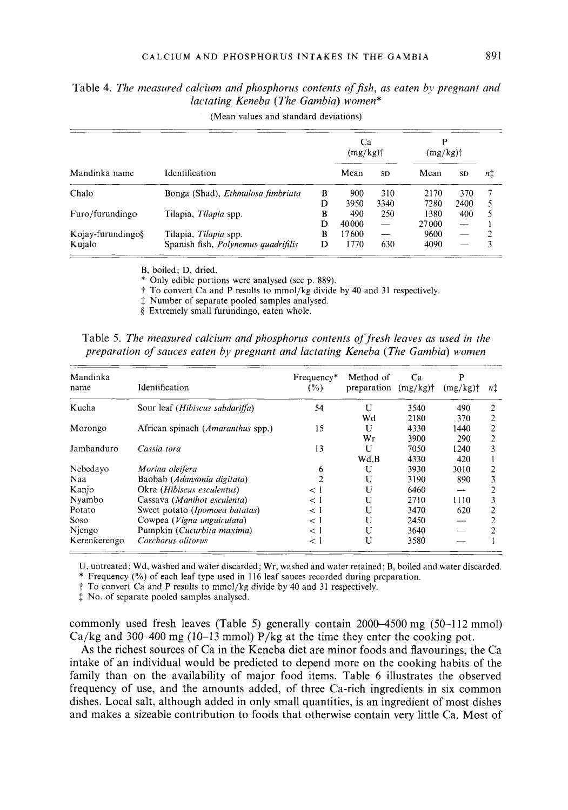|                   |                                            |   | Ca<br>$(mg/kg)$ † |           | P<br>(mg/kg) |                          |                |
|-------------------|--------------------------------------------|---|-------------------|-----------|--------------|--------------------------|----------------|
| Mandinka name     | Identification                             |   | Mean              | <b>SD</b> | Mean         | <b>SD</b>                | $n$ $\ddagger$ |
| Chalo             | Bonga (Shad), <i>Ethmalosa fimbriata</i>   | B | 900               | 310       | 2170         | 370                      | 7              |
|                   |                                            | Ð | 3950              | 3340      | 7280         | 2400                     | 5              |
| Furo/furundingo   | Tilapia, Tilapia spp.                      | B | 490               | 250       | 1380         | 400                      | 5              |
|                   |                                            | D | 40000             |           | 27000        | $\overline{\phantom{a}}$ |                |
| Kojay-furundingo§ | Tilapia, Tilapia spp.                      | в | 17600             |           | 9600         |                          |                |
| Kujalo            | Spanish fish, <i>Polynemus quadrifilis</i> | D | 1770              | 630       | 4090         |                          |                |

## Table 4. *The measured calcium and phosphorus contents of fish, as eaten by pregnant and lactating Keneba (The Gambia) women\**  (Mean values and standard deviations)

B, boiled; D, dried.

\* Only edible portions were analysed (see p. 889).

t To convert Ca and P results to mmol/kg divide by 40 and 31 respectively.

 $<sup>1</sup>$  Number of separate pooled samples analysed.</sup>

5 Extremely small furundingo, eaten whole.

Table 5. *The measured calcium and phosphorus contents of fresh leaves as used in the preparation of sauces eaten by pregnant and lactating Kenebu (The Gambia) women* - - \_\_

| Mandinka<br>name | Identification                            | Frequency*<br>$(\%)$ | Method of<br>preparation | Ca<br>$(mg/kg)$ <sup>+</sup> | P<br>$(mg/kg)\uparrow$ | n‡             |
|------------------|-------------------------------------------|----------------------|--------------------------|------------------------------|------------------------|----------------|
| Kucha            | Sour leaf ( <i>Hibiscus sabdariffa</i> )  | 54                   |                          | 3540                         | 490                    | 2              |
|                  |                                           |                      | Wd                       | 2180                         | 370                    | $\overline{c}$ |
| Morongo          | African spinach ( <i>Amaranthus</i> spp.) | 15                   | U                        | 4330                         | 1440                   | 2              |
|                  |                                           |                      | Wr                       | 3900                         | 290                    | $\overline{2}$ |
| Jambanduro       | Cassia tora                               | 13                   | U                        | 7050                         | 1240                   | 3              |
|                  |                                           |                      | Wd.B                     | 4330                         | 420                    |                |
| Nebedayo         | Morina oleifera                           | 6                    |                          | 3930                         | 3010                   | 2              |
| Naa              | Baobab (Adansonia digitata)               | $\overline{2}$       |                          | 3190                         | 890                    | 3              |
| Kanjo            | Okra (Hibiscus esculentus)                | $\rm < l$            | U                        | 6460                         |                        | 2              |
| Nyambo           | Cassava (Manihot esculenta)               | $\rm{<}$ 1           |                          | 2710                         | 1110.                  | 3              |
| Potato           | Sweet potato (Ipomoea batatas)            | < 1                  |                          | 3470                         | 620                    | 2              |
| Soso             | Cowpea (Vigna unguiculata)                | ا >                  |                          | 2450                         |                        |                |
| Njengo           | Pumpkin (Cucurbita maxima)                | < 1                  |                          | 3640                         |                        |                |
| Kerenkerengo     | Corchorus olitorus                        | < 1                  | U                        | 3580                         |                        |                |

U, untreated; Wd, washed and water discarded; Wr, washed and water retained; B, boiled and water discarded.

\* Frequency *(YO)* of each leaf type used in 116 leaf sauces recorded during preparation.

t To convert Ca and P results to mmol/kg divide by 40 and 31 respectively.

 $\ddagger$  No. of separate pooled samples analysed.

commonly used fresh leaves (Table 5) generally contain  $2000-4500$  mg  $(50-112$  mmol) Ca/kg and 300–400 mg (10–13 mmol)  $P/kg$  at the time they enter the cooking pot.

**As** the richest sources of Ca in the Keneba diet are minor foods and flavourings, the Ca intake of an individual would be predicted to depend more on the cooking habits of the family than on the availability of major food items. Table 6 illustrates the observed frequency of use, and the amounts added, of three Ca-rich ingredients in six common dishes. Local salt, although added in only small quantities, is an ingredient of most dishes and makes a sizeable contribution to foods that otherwise contain very little Ca. Most of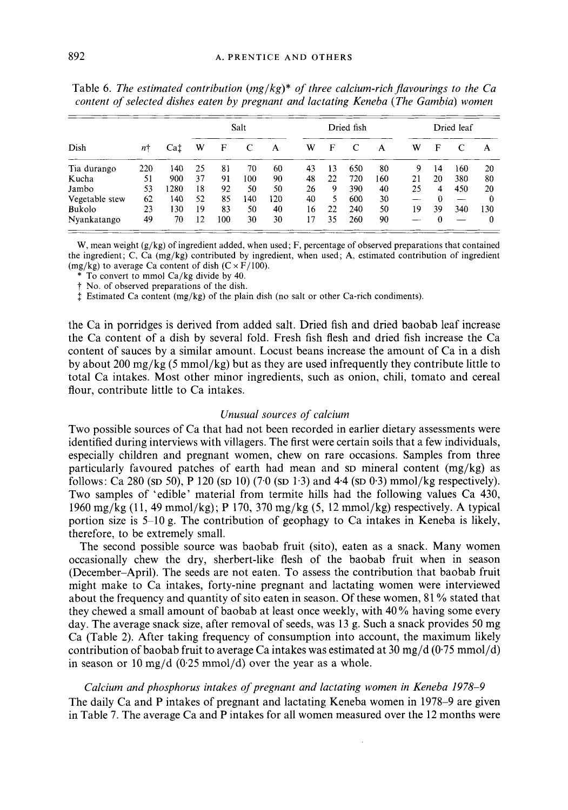|                |     |      |    |     |     | Salt |    |    |     | Dried fish |    |    |                          | Dried leaf |  |
|----------------|-----|------|----|-----|-----|------|----|----|-----|------------|----|----|--------------------------|------------|--|
| Dish           | n†  | Cat  | w  | F   | C   | A    | W  | F  | C   | А          | w  | F  | C                        | A          |  |
| Tia durango    | 220 | 140  | 25 | 81  | 70  | 60   | 43 | 13 | 650 | 80         | 9  | 14 | 160                      | 20         |  |
| Kucha          | 51  | 900  | 37 | 91  | 100 | 90   | 48 | 22 | 720 | 160        | 21 | 20 | 380                      | 80         |  |
| Jambo          | 53  | 1280 | 18 | 92  | 50  | 50   | 26 | 9  | 390 | 40         | 25 | 4  | 450                      | 20         |  |
| Vegetable stew | 62  | 140  | 52 | 85  | 140 | 120  | 40 | 5  | 600 | 30         |    | 0  | $\overline{\phantom{a}}$ |            |  |
| <b>Bukolo</b>  | 23  | 130  | 19 | 83  | 50  | 40   | 16 | 22 | 240 | 50         | 19 | 39 | 340                      | 130        |  |
| Nyankatango    | 49  | 70   | 12 | 100 | 30  | 30   | 17 | 35 | 260 | 90         |    | 0  |                          |            |  |

Table **6.** *The estimated contribution (mg/kg)\* of three calcium-rich flavourings to the Ca content of selected dishes eaten by pregnant and lactating Keneba (The Gambia) women* 

W, mean weight (g/kg) of ingredient added, when used; F, percentage of observed preparations that contained the ingredient; C. Ca (mg/kg) contributed by ingredient, when used; **A,** estimated contribution of ingredient  $(mg/kg)$  to average Ca content of dish  $(C \times F/100)$ .

To convert to mmol Ca/kg divide by 40.

t No. of observed preparations of the dish.

 $\ddagger$  Estimated Ca content (mg/kg) of the plain dish (no salt or other Ca-rich condiments).

the Ca in porridges is derived from added salt. Dried fish and dried baobab leaf increase the Ca content of a dish by several fold. Fresh fish flesh and dried fish increase the Ca content of sauces by a similar amount. Locust beans increase the amount of Ca in a dish by about 200 mg/kg *(5* mmol/kg) but as they are used infrequently they contribute little to total Ca intakes. Most other minor ingredients, such as onion, chili, tomato and cereal flour, contribute little to Ca intakes.

### *Unusual sources of calcium*

Two possible sources of Ca that had not been recorded in earlier dietary assessments were identified during interviews with villagers. The first were certain soils that a few individuals, especially children and pregnant women, chew on rare occasions. Samples from three particularly favoured patches of earth had mean and sp mineral content  $(mg/kg)$  as follows: Ca 280 (sp 50), P 120 (sp 10) (7.0 (sp 1.3) and 4.4 (sp 0.3) mmol/kg respectively). Two samples of 'edible' material from termite hills had the following values Ca 430, 1960 mg/kg (1 1, 49 mmol/kg); P 170, 370 mg/kg (5, 12 mmol/kg) respectively. **A** typical portion size is  $5-10$  g. The contribution of geophagy to Ca intakes in Keneba is likely, therefore, to be extremely small.

The second possible source was baobab fruit (sito), eaten as a snack. Many women occasionally chew the dry, sherbert-like flesh of the baobab fruit when in season (December-April). The seeds are not eaten. To assess the contribution that baobab fruit might make to Ca intakes, forty-nine pregnant and lactating women were interviewed about the frequency and quantity of sito eaten in season. Of these women, 81% stated that they chewed a small amount of baobab at least once weekly, with 40 % having some every day. The average snack size, after removal of seeds, was 13 g. Such a snack provides 50 mg Ca (Table 2). After taking frequency of consumption into account, the maximum likely contribution of baobab fruit to average Ca intakes was estimated at 30 mg/d  $(0.75 \text{ mmol/d})$ in season or  $10 \text{ mg/d}$  (0.25 mmol/d) over the year as a whole.

*Calcium and phosphorus intakes of pregnant and lactating women in Keneba 1978-9*  The daily Ca and P intakes of pregnant and lactating Keneba women in 1978-9 are given in Table 7. The average Ca and P intakes for all women measured over the 12 months were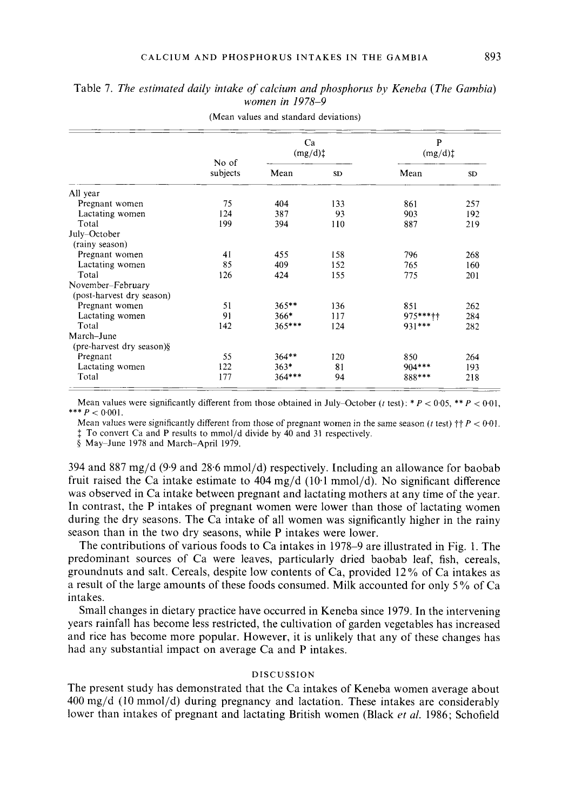|                           |                   | Ca<br>$(mg/d)$ <sup>+</sup> |           | $\mathbf{P}$<br>$(mg/d)\ddagger$ |           |  |
|---------------------------|-------------------|-----------------------------|-----------|----------------------------------|-----------|--|
|                           | No of<br>subjects | Mean                        | <b>SD</b> | Mean                             | <b>SD</b> |  |
| All year                  |                   |                             |           |                                  |           |  |
| Pregnant women            | 75                | 404                         | 133       | 861                              | 257       |  |
| Lactating women           | 124               | 387                         | 93        | 903                              | 192       |  |
| Total                     | 199               | 394                         | 110       | 887                              | 219       |  |
| July-October              |                   |                             |           |                                  |           |  |
| (rainy season)            |                   |                             |           |                                  |           |  |
| Pregnant women            | 41                | 455                         | 158       | 796                              | 268       |  |
| Lactating women           | 85                | 409                         | 152       | 765                              | 160       |  |
| Total                     | 126               | 424                         | 155       | 775                              | 201       |  |
| November-February         |                   |                             |           |                                  |           |  |
| (post-harvest dry season) |                   |                             |           |                                  |           |  |
| Pregnant women            | 51                | $365***$                    | 136       | 851                              | 262       |  |
| Lactating women           | 91                | $366*$                      | 117       | 975***††                         | 284       |  |
| Total                     | 142               | 365***                      | 124       | 931***                           | 282       |  |
| March–June                |                   |                             |           |                                  |           |  |
| (pre-harvest dry season)§ |                   |                             |           |                                  |           |  |
| Pregnant                  | 55                | $364***$                    | 120       | 850                              | 264       |  |
| Lactating women           | 122               | $363*$                      | 81        | 904***                           | 193       |  |
| Total                     | 177               | 364***                      | 94        | 888***                           | 218       |  |

Table 7. *The estimated daily intake of calcium and phosphorus by Keneba (The Gambia) women in 1978-9* 

(Mean values and standard deviations)

Mean values were significantly different from those obtained in July-October  $(t \text{ test})$ : \*  $P < 0.05$ , \*\*  $P < 0.01$ ,  $*** P < 0.001$ .

Mean values were significantly different from those of pregnant women in the same season  $(t \text{ test})$   $\uparrow \uparrow P < 0.01$ . \$ To convert Ca and P results to mmol/d divide by **40** and **31** respectively.

6 May-June **1978** and March-April **1979.** 

394 and 887 mg/d (9.9 and 28.6 mmol/d) respectively. Including an allowance for baobab fruit raised the Ca intake estimate to  $404 \text{ mg/d}$  (10.1 mmol/d). No significant difference was observed in Ca intake between pregnant and lactating mothers at any time of the year. In contrast, the P intakes of pregnant women were lower than those of lactating women during the dry seasons. The Ca intake of all women was significantly higher in the rainy season than in the two dry seasons, while P intakes were lower.

The contributions of various foods to Ca intakes in 1978-9 are illustrated in Fig. 1. The predominant sources of Ca were leaves, particularly dried baobab leaf, fish, cereals, groundnuts and salt. Cereals, despite low contents of Ca, provided 12 % of Ca intakes as a result of the large amounts of these foods consumed. Milk accounted for only 5 % of Ca in takes.

Small changes in dietary practice have occurred in Keneba since 1979. In the intervening years rainfall has become less restricted, the cultivation of garden vegetables has increased and rice has become more popular. However, it is unlikely that any of these changes has had any substantial impact on average Ca and P intakes.

#### DISCUSSION

The present study has demonstrated that the Ca intakes of Keneba women average about 400 mg/d (10 mmol/d) during pregnancy and lactation. These intakes are considerably lower than intakes of pregnant and lactating British women (Black *et al.* 1986; Schofield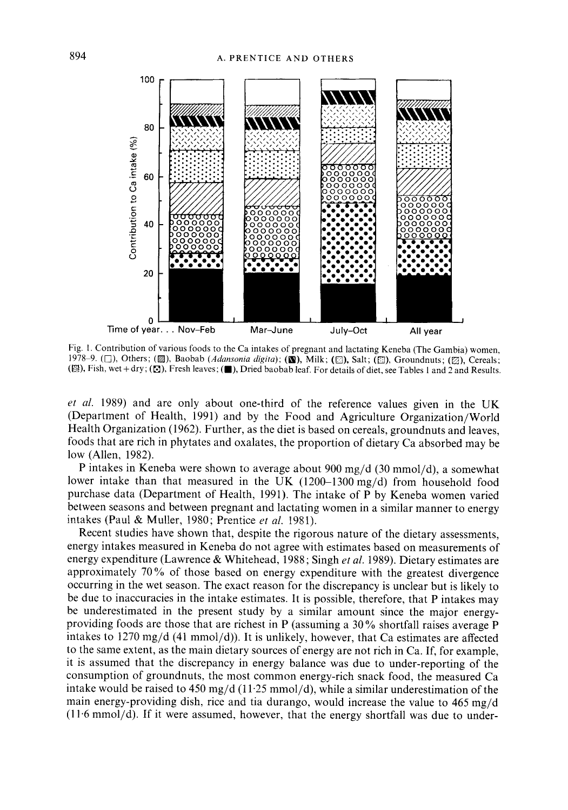

Fig. I. Contribution of various foods to the Ca intakes of pregnant and lactating Keneba (The Gambia) women, 1978-9. ( $\square$ ), Others; ( $\square$ ), Baobab (*Adansonia digita*); ( $\square$ ), Milk; ( $\square$ ), Salt; ( $\square$ ), Groundnuts; ( $\square$ ), Cereals; (Eh Fish, wet +dry; **(El),** Fresh leaves; **(W),** Dried baobab leaf. For details of diet. see Tables I and 2 and Results

*et al.* 1989) and are only about one-third of the reference values given in the UK (Department of Health, 1991) and by the Food and Agriculture Organization/World Health Organization (1962). Further, as the diet is based on cereals, groundnuts and leaves, foods that are rich in phytates and oxalates, the proportion of dietary Ca absorbed may be low (Allen, 1982).

P intakes in Keneba were shown to average about 900 mg/d (30 mmol/d), a somewhat lower intake than that measured in the UK (1200-1300 mg/d) from household food purchase data (Department of Health, 1991). The intake of P by Keneba women varied between seasons and between pregnant and lactating women in a similar manner to energy intakes (Paul & Muller, 1980; Prentice *et al.* 1981).

Recent studies have shown that, despite the rigorous nature of the dietary assessments, energy intakes measured in Keneba do not agree with estimates based on measurements of energy expenditure (Lawrence & Whitehead, 1988; Singh *et al.* 1989). Dietary estimates are approximately 70 % of those based on energy expenditure with the greatest divergence occurring in the wet season. The exact reason for the discrepancy is unclear but is likely to be due to inaccuracies in the intake estimates. It is possible, therefore, that P intakes may be underestimated in the present study by a similar amount since the major energyproviding foods are those that are richest in P (assuming a 30 % shortfall raises average P intakes to  $1270 \text{ mg/d}$  (41 mmol/d)). It is unlikely, however, that Ca estimates are affected to the same extent, as the main dietary sources of energy are not rich in Ca. If, for example, it is assumed that the discrepancy in energy balance was due to under-reporting of the consumption of groundnuts, the most common energy-rich snack food, the measured Ca intake would be raised to 450 mg/d (11.25 mmol/d), while a similar underestimation of the main energy-providing dish, rice and tia durango, would increase the value to 465 mg/d  $(11.6 \text{ mmol/d})$ . If it were assumed, however, that the energy shortfall was due to under-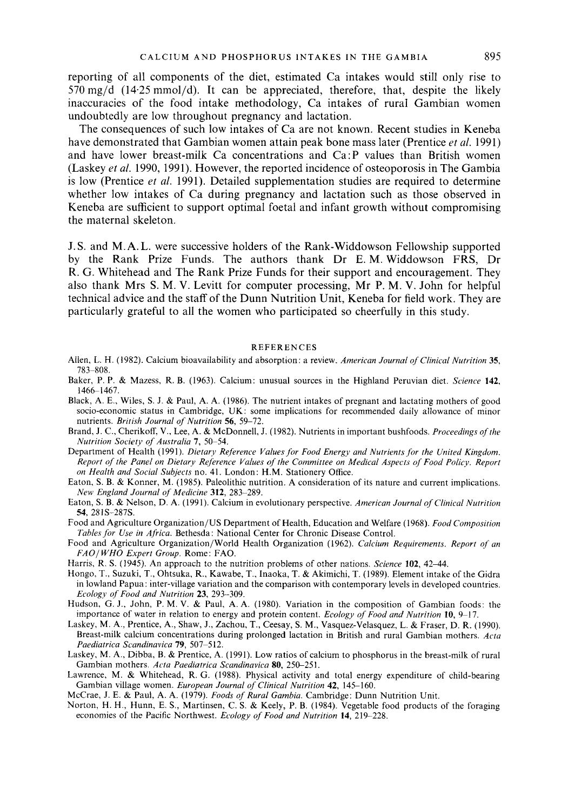reporting of all components of the diet, estimated Ca intakes would still only rise to  $570 \text{ mg/d}$  (14.25 mmol/d). It can be appreciated, therefore, that, despite the likely inaccuracies of the food intake methodology, Ca intakes of rural Gambian women undoubtedly are low throughout pregnancy and lactation.

The consequences of such low intakes of Ca are not known. Recent studies in Keneba have demonstrated that Gambian women attain peak bone mass later (Prentice *et al.* 1991) and have lower breast-milk Ca concentrations and Ca: P values than British women (Laskey *et al.* 1990, 1991). However, the reported incidence of osteoporosis in The Gambia is low (Prentice *et al.* 1991). Detailed supplementation studies are required to determine whether low intakes of Ca during pregnancy and lactation such as those observed in Keneba are sufficient to support optimal foetal and infant growth without compromising the maternal skeleton.

**J. S.** and M. **A,** L. were successive holders of the Rank-Widdowson Fellowship supported by the Rank Prize Funds. The authors thank Dr E. M. Widdowson FRS, Dr R. G. Whitehead and The Rank Prize Funds for their support and encouragement. They also thank Mrs **S.** M. V. Levitt for computer processing, Mr P. M. V. John for helpful technical advice and the staff of the Dunn Nutrition Unit, Keneba for field work. They are particularly grateful to all the women who participated so cheerfully in this study.

#### REFERENCES

- Allen, L. H. (1982). Calcium bioavailability and absorption: a review. *American Journal of Clinical Nutrition* **35,**  783-808.
- Baker, P. P. & Mazess, R. B. (1963). Calcium: unusual sources in the Highland Peruvian diet. *Science* **142,**  1466–1467.
- Black, A. E., Wiles, S. J. & Paul, A. A. (1986). The nutrient intakes of pregnant and lactating mothers of good socio-economic status in Cambridge, UK: some implications for recommended daily allowance of minor nutrients. *British Journal of Nutrition* **56,** 59-72.
- Brand, J. C., Cherikoff, V., Lee, A. & McDonnell, J. (1982). Nutrients in important bushfoods. *Proceedings ofthe Nutrition Society of Australia 1,* 50-54.
- Department of Health (1991). *Dietary Reference Values for Food Energy and Nutrientsfor the United Kingdom. Report of the Panel on Dietary Reference Values of the Committee on Medical Aspecis of Food Policy. Report on Health and Social Subjects* no. 41. London: H.M. Stationery Office.
- Eaton, S. B. & Konner, M. (1985). Paleolithic nutrition. A consideration of its nature and current implications. *New England Journal of Medicine* **312,** 283-289.
- Eaton, S. B. & Nelson, D. A. (199 I). Calcium in evolutionary perspective. *American Journal of Clinical Nutrition*  **54,** 28 **I** S-287s.
- Food and Agriculture Organization/US Department of Health, Education and Welfare (1968). *Food Composition Tables jbr Use in Africa.* Bethesda: National Center for Chronic Disease Control.
- Food and Agriculture Organization/World Health Organization (1962). *Calcium Requirements. Report of an FA01 WHO Expert Group.* Rome: FAO.
- Harris, R. S. (1945). An approach to the nutrition problems of other nations. *Science* 102, 42–44.
- Hongo, T., Suzuki, T., Ohtsuka, R., Kawabe, T., Inaoka, T. & Akimichi, T. (1989). Element intake of the Gidra in lowland Papua: inter-village variation and the comparison with contemporary levels in developed countries. *Eco1og.v of Food and Nutrition* **23,** 293-309.
- Hudson, G. **J.,** John, P. M. V. & Paul, A. A. (1980). Variation in the composition of Gambian foods: the importance of water in relation to energy and protein content. *Ecology of Food and Nutrition* **10**, 9–17.
- Laskey, M. A., Prentice, A., Shaw, J., Zachou, T., Ceesay, S. M., Vasquez-Velasquez, L. & Fraser, D. R. (1990). Breast-milk calcium concentrations during prolonged lactation in British and rural Gambian mothers. *Acta Paediatrica Scandinavica 19,* 507-512.
- Laskey, M. A., Dibba, B. & Prentice, A. (1991). Low ratios of calcium to phosphorus in the breast-milk of rural Gambian mothers. *Acta Paediatricu Scandinavica* **80,** 250-251,
- Lawrence, M. & Whitehead, R. G. (1988). Physical activity and total energy expenditure of child-bearing Gambian village women. *European Journal of Clinical Nutrition* **42,** 145-160.
- McCrae, J. E. & Paul, A. A. (1979). *Foods of Rural Gambia.* Cambridge: Dunn Nutrition Unit.
- Norton, H. H., Hum. E. S., Martinsen, C. **S.** & Keely, P. B. (1984). Vegetable food products of the foraging economies of the Pacific Northwest. *Ecology of Food and Nutrition* **14,** 219-228.